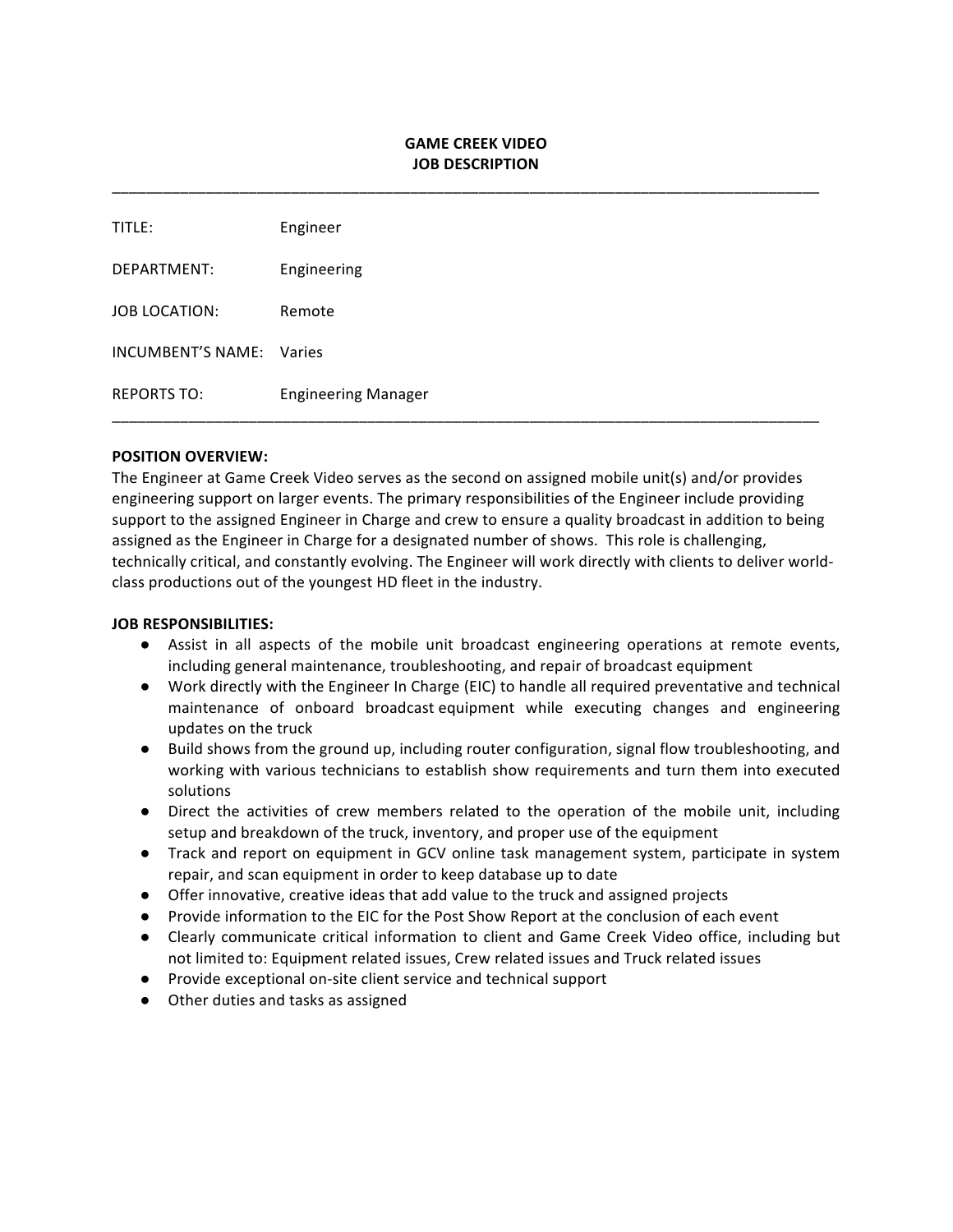# **GAME CREEK VIDEO JOB DESCRIPTION**

\_\_\_\_\_\_\_\_\_\_\_\_\_\_\_\_\_\_\_\_\_\_\_\_\_\_\_\_\_\_\_\_\_\_\_\_\_\_\_\_\_\_\_\_\_\_\_\_\_\_\_\_\_\_\_\_\_\_\_\_\_\_\_\_\_\_\_\_\_\_\_\_\_\_\_\_\_\_\_\_\_\_\_

| TITLE:                   | Engineer                   |
|--------------------------|----------------------------|
| DEPARTMENT:              | Engineering                |
| JOB LOCATION:            | Remote                     |
| INCUMBENT'S NAME: Varies |                            |
| <b>REPORTS TO:</b>       | <b>Engineering Manager</b> |

#### **POSITION OVERVIEW:**

The Engineer at Game Creek Video serves as the second on assigned mobile unit(s) and/or provides engineering support on larger events. The primary responsibilities of the Engineer include providing support to the assigned Engineer in Charge and crew to ensure a quality broadcast in addition to being assigned as the Engineer in Charge for a designated number of shows. This role is challenging, technically critical, and constantly evolving. The Engineer will work directly with clients to deliver worldclass productions out of the youngest HD fleet in the industry.

#### **JOB RESPONSIBILITIES:**

- Assist in all aspects of the mobile unit broadcast engineering operations at remote events, including general maintenance, troubleshooting, and repair of broadcast equipment
- Work directly with the Engineer In Charge (EIC) to handle all required preventative and technical maintenance of onboard broadcast equipment while executing changes and engineering updates on the truck
- Build shows from the ground up, including router configuration, signal flow troubleshooting, and working with various technicians to establish show requirements and turn them into executed solutions
- Direct the activities of crew members related to the operation of the mobile unit, including setup and breakdown of the truck, inventory, and proper use of the equipment
- Track and report on equipment in GCV online task management system, participate in system repair, and scan equipment in order to keep database up to date
- Offer innovative, creative ideas that add value to the truck and assigned projects
- Provide information to the EIC for the Post Show Report at the conclusion of each event
- Clearly communicate critical information to client and Game Creek Video office, including but not limited to: Equipment related issues, Crew related issues and Truck related issues
- Provide exceptional on-site client service and technical support
- Other duties and tasks as assigned